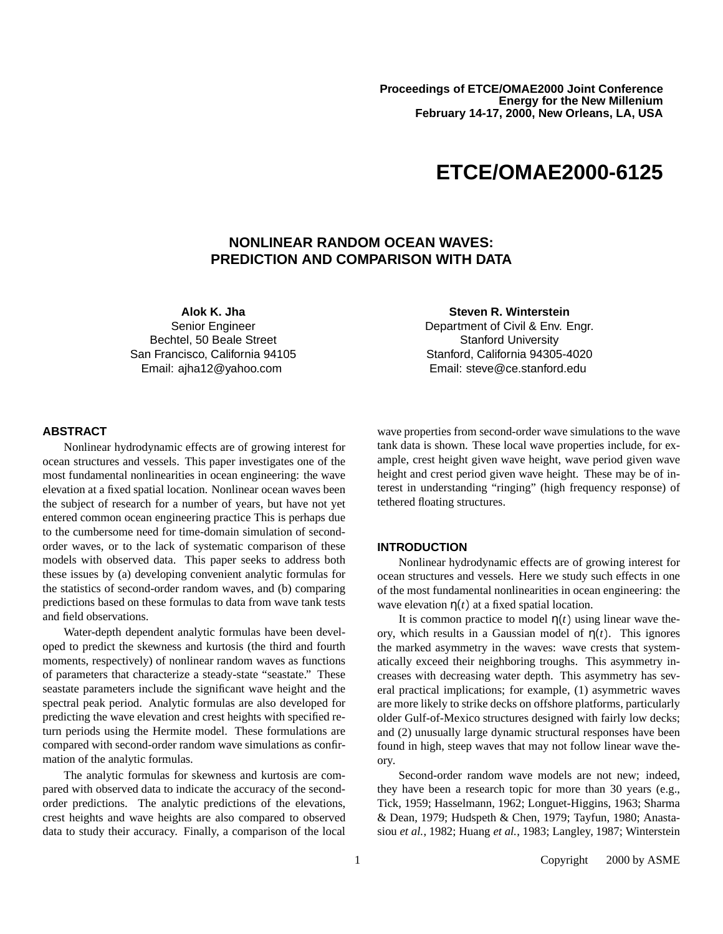# **ETCE/OMAE2000-6125**

# **NONLINEAR RANDOM OCEAN WAVES: PREDICTION AND COMPARISON WITH DATA**

**Alok K. Jha** Senior Engineer Bechtel, 50 Beale Street San Francisco, California 94105 Email: ajha12@yahoo.com

**Steven R. Winterstein**

Department of Civil & Env. Engr. Stanford University Stanford, California 94305-4020 Email: steve@ce.stanford.edu

## **ABSTRACT**

Nonlinear hydrodynamic effects are of growing interest for ocean structures and vessels. This paper investigates one of the most fundamental nonlinearities in ocean engineering: the wave elevation at a fixed spatial location. Nonlinear ocean waves been the subject of research for a number of years, but have not yet entered common ocean engineering practice This is perhaps due to the cumbersome need for time-domain simulation of secondorder waves, or to the lack of systematic comparison of these models with observed data. This paper seeks to address both these issues by (a) developing convenient analytic formulas for the statistics of second-order random waves, and (b) comparing predictions based on these formulas to data from wave tank tests and field observations.

Water-depth dependent analytic formulas have been developed to predict the skewness and kurtosis (the third and fourth moments, respectively) of nonlinear random waves as functions of parameters that characterize a steady-state "seastate." These seastate parameters include the significant wave height and the spectral peak period. Analytic formulas are also developed for predicting the wave elevation and crest heights with specified return periods using the Hermite model. These formulations are compared with second-order random wave simulations as confirmation of the analytic formulas.

The analytic formulas for skewness and kurtosis are compared with observed data to indicate the accuracy of the secondorder predictions. The analytic predictions of the elevations, crest heights and wave heights are also compared to observed data to study their accuracy. Finally, a comparison of the local

wave properties from second-order wave simulations to the wave tank data is shown. These local wave properties include, for example, crest height given wave height, wave period given wave height and crest period given wave height. These may be of interest in understanding "ringing" (high frequency response) of tethered floating structures.

## **INTRODUCTION**

Nonlinear hydrodynamic effects are of growing interest for ocean structures and vessels. Here we study such effects in one of the most fundamental nonlinearities in ocean engineering: the wave elevation  $\eta(t)$  at a fixed spatial location.

It is common practice to model  $\eta(t)$  using linear wave theory, which results in a Gaussian model of  $\eta(t)$ . This ignores the marked asymmetry in the waves: wave crests that systematically exceed their neighboring troughs. This asymmetry increases with decreasing water depth. This asymmetry has several practical implications; for example, (1) asymmetric waves are more likely to strike decks on offshore platforms, particularly older Gulf-of-Mexico structures designed with fairly low decks; and (2) unusually large dynamic structural responses have been found in high, steep waves that may not follow linear wave theory.

Second-order random wave models are not new; indeed, they have been a research topic for more than 30 years (e.g., Tick, 1959; Hasselmann, 1962; Longuet-Higgins, 1963; Sharma & Dean, 1979; Hudspeth & Chen, 1979; Tayfun, 1980; Anastasiou *et al.*, 1982; Huang *et al.*, 1983; Langley, 1987; Winterstein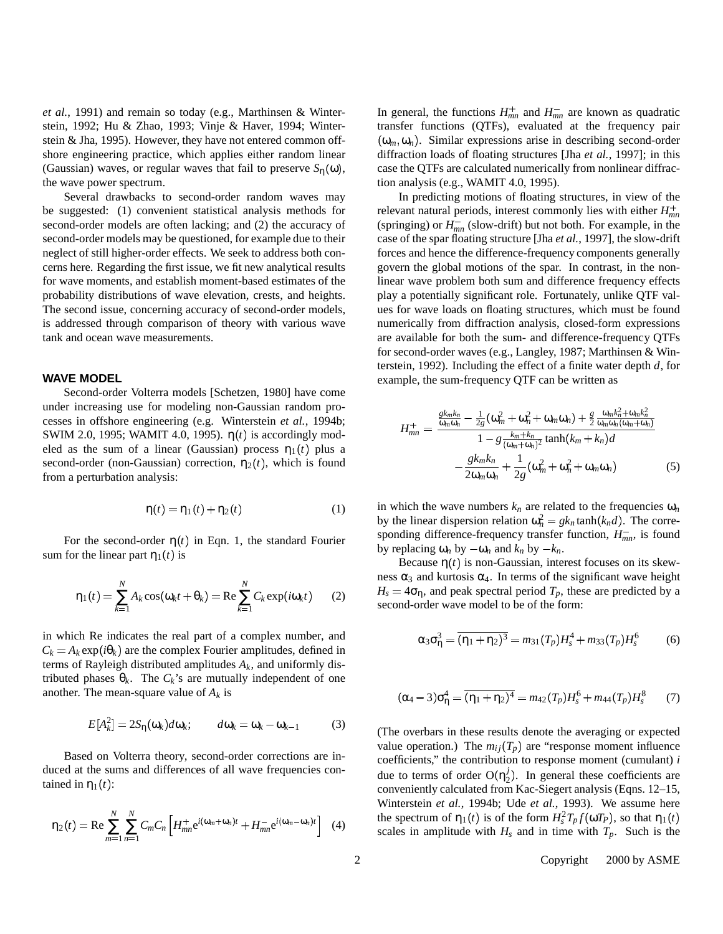*et al.*, 1991) and remain so today (e.g., Marthinsen & Winterstein, 1992; Hu & Zhao, 1993; Vinje & Haver, 1994; Winterstein & Jha, 1995). However, they have not entered common offshore engineering practice, which applies either random linear (Gaussian) waves, or regular waves that fail to preserve  $S_{\eta}(\omega)$ , the wave power spectrum.

Several drawbacks to second-order random waves may be suggested: (1) convenient statistical analysis methods for second-order models are often lacking; and (2) the accuracy of second-order models may be questioned, for example due to their neglect of still higher-order effects. We seek to address both concerns here. Regarding the first issue, we fit new analytical results for wave moments, and establish moment-based estimates of the probability distributions of wave elevation, crests, and heights. The second issue, concerning accuracy of second-order models, is addressed through comparison of theory with various wave tank and ocean wave measurements.

#### **WAVE MODEL**

Second-order Volterra models [Schetzen, 1980] have come under increasing use for modeling non-Gaussian random processes in offshore engineering (e.g. Winterstein *et al.*, 1994b; SWIM 2.0, 1995; WAMIT 4.0, 1995).  $\eta(t)$  is accordingly modeled as the sum of a linear (Gaussian) process  $\eta_1(t)$  plus a second-order (non-Gaussian) correction,  $\eta_2(t)$ , which is found from a perturbation analysis:

$$
\eta(t) = \eta_1(t) + \eta_2(t) \tag{1}
$$

For the second-order  $\eta(t)$  in Eqn. 1, the standard Fourier sum for the linear part  $\eta_1(t)$  is

$$
\eta_1(t) = \sum_{k=1}^N A_k \cos(\omega_k t + \theta_k) = \text{Re} \sum_{k=1}^N C_k \exp(i\omega_k t) \qquad (2)
$$

in which Re indicates the real part of a complex number, and  $C_k = A_k \exp(i\theta_k)$  are the complex Fourier amplitudes, defined in terms of Rayleigh distributed amplitudes *Ak*, and uniformly distributed phases  $\theta_k$ . The  $C_k$ 's are mutually independent of one another. The mean-square value of *A<sup>k</sup>* is

$$
E[A_k^2] = 2S_\eta(\omega_k)d\omega_k; \qquad d\omega_k = \omega_k - \omega_{k-1} \tag{3}
$$

Based on Volterra theory, second-order corrections are induced at the sums and differences of all wave frequencies contained in  $\eta_1(t)$ :

$$
\eta_2(t) = \text{Re} \sum_{m=1}^{N} \sum_{n=1}^{N} C_m C_n \left[ H_{mn}^+ e^{i(\omega_m + \omega_n)t} + H_{mn}^- e^{i(\omega_m - \omega_n)t} \right] \tag{4}
$$

In general, the functions  $H_{mn}^+$  and  $H_{mn}^-$  are known as quadratic transfer functions (QTFs), evaluated at the frequency pair  $(\omega_m, \omega_n)$ . Similar expressions arise in describing second-order diffraction loads of floating structures [Jha *et al.*, 1997]; in this case the QTFs are calculated numerically from nonlinear diffraction analysis (e.g., WAMIT 4.0, 1995).

In predicting motions of floating structures, in view of the relevant natural periods, interest commonly lies with either *Hmn* (springing) or  $H_{mn}^-$  (slow-drift) but not both. For example, in the case of the spar floating structure [Jha *et al.*, 1997], the slow-drift forces and hence the difference-frequency components generally govern the global motions of the spar. In contrast, in the nonlinear wave problem both sum and difference frequency effects play a potentially significant role. Fortunately, unlike QTF values for wave loads on floating structures, which must be found numerically from diffraction analysis, closed-form expressions are available for both the sum- and difference-frequency QTFs for second-order waves (e.g., Langley, 1987; Marthinsen & Winterstein, 1992). Including the effect of a finite water depth *d*, for example, the sum-frequency QTF can be written as

$$
H_{mn}^{+} = \frac{\frac{g k_m k_n}{\omega_m \omega_n} - \frac{1}{2g} (\omega_m^2 + \omega_n^2 + \omega_m \omega_n) + \frac{g}{2} \frac{\omega_m k_n^2 + \omega_m k_n^2}{\omega_m \omega_n (\omega_m + \omega_n)}}{1 - g \frac{k_m + k_n}{(\omega_m + \omega_n)^2} \tanh(k_m + k_n) d} - \frac{g k_m k_n}{2 \omega_m \omega_n} + \frac{1}{2g} (\omega_m^2 + \omega_n^2 + \omega_m \omega_n)
$$
(5)

in which the wave numbers  $k_n$  are related to the frequencies  $\omega_n$ by the linear dispersion relation  $\omega_n^2 = g k_n \tanh(k_n d)$ . The corresponding difference-frequency transfer function,  $H_{mn}^-$ , is found by replacing  $\omega_n$  by  $-\omega_n$  and  $k_n$  by  $-k_n$ .

Because  $\eta(t)$  is non-Gaussian, interest focuses on its skewness  $\alpha_3$  and kurtosis  $\alpha_4$ . In terms of the significant wave height  $H_s = 4\sigma_{\eta}$ , and peak spectral period  $T_p$ , these are predicted by a second-order wave model to be of the form:

$$
\alpha_3 \sigma_{\eta}^3 = \overline{(\eta_1 + \eta_2)^3} = m_{31} (T_p) H_s^4 + m_{33} (T_p) H_s^6 \tag{6}
$$

$$
(\alpha_4 - 3)\sigma_{\eta}^4 = \overline{(\eta_1 + \eta_2)^4} = m_{42}(T_p)H_s^6 + m_{44}(T_p)H_s^8 \qquad (7)
$$

(The overbars in these results denote the averaging or expected value operation.) The  $m_{ij}(T_p)$  are "response moment influence coefficients," the contribution to response moment (cumulant) *i* due to terms of order  $O(\eta_2^j)$ . In general these coefficients are conveniently calculated from Kac-Siegert analysis (Eqns. 12–15, Winterstein *et al.*, 1994b; Ude *et al.*, 1993). We assume here the spectrum of  $\eta_1(t)$  is of the form  $H_s^2T_p f(\omega T_P)$ , so that  $\eta_1(t)$ scales in amplitude with  $H_s$  and in time with  $T_p$ . Such is the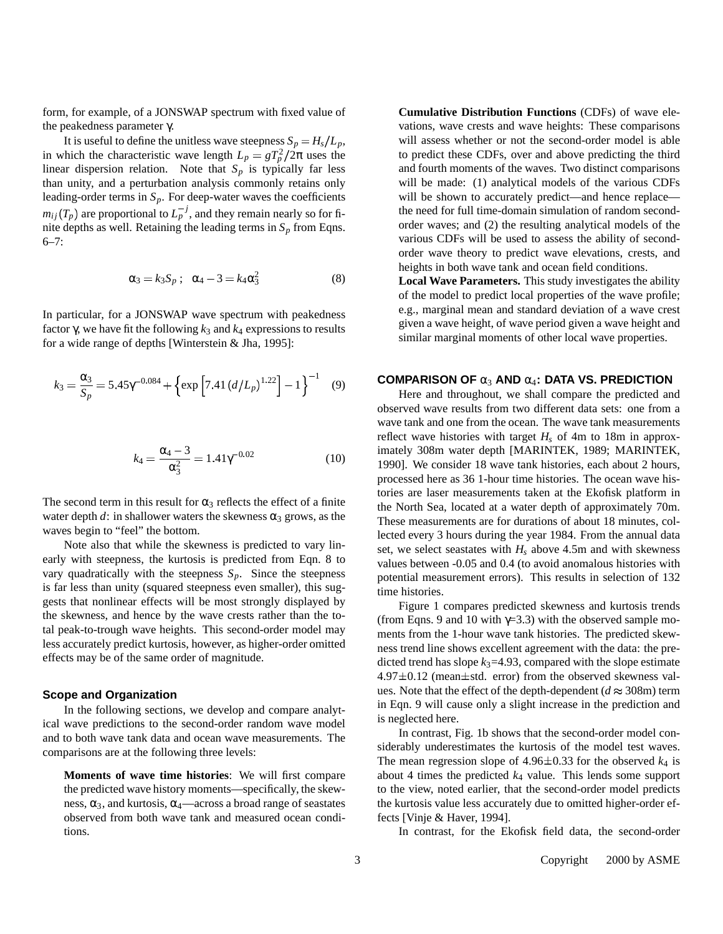form, for example, of a JONSWAP spectrum with fixed value of the peakedness parameter γ.

It is useful to define the unitless wave steepness  $S_p = H_s/L_p$ , in which the characteristic wave length  $L_p = gT_p^2/2\pi$  uses the linear dispersion relation. Note that  $S_p$  is typically far less than unity, and a perturbation analysis commonly retains only leading-order terms in *Sp*. For deep-water waves the coefficients  $m_{ij}(T_p)$  are proportional to  $L_p^{-j}$ , and they remain nearly so for finite depths as well. Retaining the leading terms in  $S_p$  from Eqns.  $6 - 7$ :

$$
\alpha_3 = k_3 S_p \; ; \; \alpha_4 - 3 = k_4 \alpha_3^2 \tag{8}
$$

In particular, for a JONSWAP wave spectrum with peakedness factor γ, we have fit the following *k*<sup>3</sup> and *k*<sup>4</sup> expressions to results for a wide range of depths [Winterstein & Jha, 1995]:

$$
k_3 = \frac{\alpha_3}{S_p} = 5.45\gamma^{-0.084} + \left\{ \exp \left[ 7.41 \left( d/L_p \right)^{1.22} \right] - 1 \right\}^{-1} \tag{9}
$$

$$
k_4 = \frac{\alpha_4 - 3}{\alpha_3^2} = 1.41\gamma^{-0.02}
$$
 (10)

The second term in this result for  $\alpha_3$  reflects the effect of a finite water depth  $d$ : in shallower waters the skewness  $\alpha_3$  grows, as the waves begin to "feel" the bottom.

Note also that while the skewness is predicted to vary linearly with steepness, the kurtosis is predicted from Eqn. 8 to vary quadratically with the steepness  $S_p$ . Since the steepness is far less than unity (squared steepness even smaller), this suggests that nonlinear effects will be most strongly displayed by the skewness, and hence by the wave crests rather than the total peak-to-trough wave heights. This second-order model may less accurately predict kurtosis, however, as higher-order omitted effects may be of the same order of magnitude.

#### **Scope and Organization**

In the following sections, we develop and compare analytical wave predictions to the second-order random wave model and to both wave tank data and ocean wave measurements. The comparisons are at the following three levels:

**Moments of wave time histories**: We will first compare the predicted wave history moments—specifically, the skewness,  $\alpha_3$ , and kurtosis,  $\alpha_4$ —across a broad range of seastates observed from both wave tank and measured ocean conditions.

**Cumulative Distribution Functions** (CDFs) of wave elevations, wave crests and wave heights: These comparisons will assess whether or not the second-order model is able to predict these CDFs, over and above predicting the third and fourth moments of the waves. Two distinct comparisons will be made: (1) analytical models of the various CDFs will be shown to accurately predict—and hence replace the need for full time-domain simulation of random secondorder waves; and (2) the resulting analytical models of the various CDFs will be used to assess the ability of secondorder wave theory to predict wave elevations, crests, and heights in both wave tank and ocean field conditions.

**Local Wave Parameters.** This study investigates the ability of the model to predict local properties of the wave profile; e.g., marginal mean and standard deviation of a wave crest given a wave height, of wave period given a wave height and similar marginal moments of other local wave properties.

#### **COMPARISON OF** α<sup>3</sup> **AND** α4**: DATA VS. PREDICTION**

Here and throughout, we shall compare the predicted and observed wave results from two different data sets: one from a wave tank and one from the ocean. The wave tank measurements reflect wave histories with target  $H_s$  of 4m to 18m in approximately 308m water depth [MARINTEK, 1989; MARINTEK, 1990]. We consider 18 wave tank histories, each about 2 hours, processed here as 36 1-hour time histories. The ocean wave histories are laser measurements taken at the Ekofisk platform in the North Sea, located at a water depth of approximately 70m. These measurements are for durations of about 18 minutes, collected every 3 hours during the year 1984. From the annual data set, we select seastates with  $H_s$  above 4.5m and with skewness values between -0.05 and 0.4 (to avoid anomalous histories with potential measurement errors). This results in selection of 132 time histories.

Figure 1 compares predicted skewness and kurtosis trends (from Eqns. 9 and 10 with  $\gamma$ =3.3) with the observed sample moments from the 1-hour wave tank histories. The predicted skewness trend line shows excellent agreement with the data: the predicted trend has slope  $k_3$ =4.93, compared with the slope estimate  $4.97 \pm 0.12$  (mean $\pm$ std. error) from the observed skewness values. Note that the effect of the depth-dependent ( $d \approx 308$ m) term in Eqn. 9 will cause only a slight increase in the prediction and is neglected here.

In contrast, Fig. 1b shows that the second-order model considerably underestimates the kurtosis of the model test waves. The mean regression slope of  $4.96 \pm 0.33$  for the observed  $k_4$  is about 4 times the predicted *k*<sup>4</sup> value. This lends some support to the view, noted earlier, that the second-order model predicts the kurtosis value less accurately due to omitted higher-order effects [Vinje & Haver, 1994].

In contrast, for the Ekofisk field data, the second-order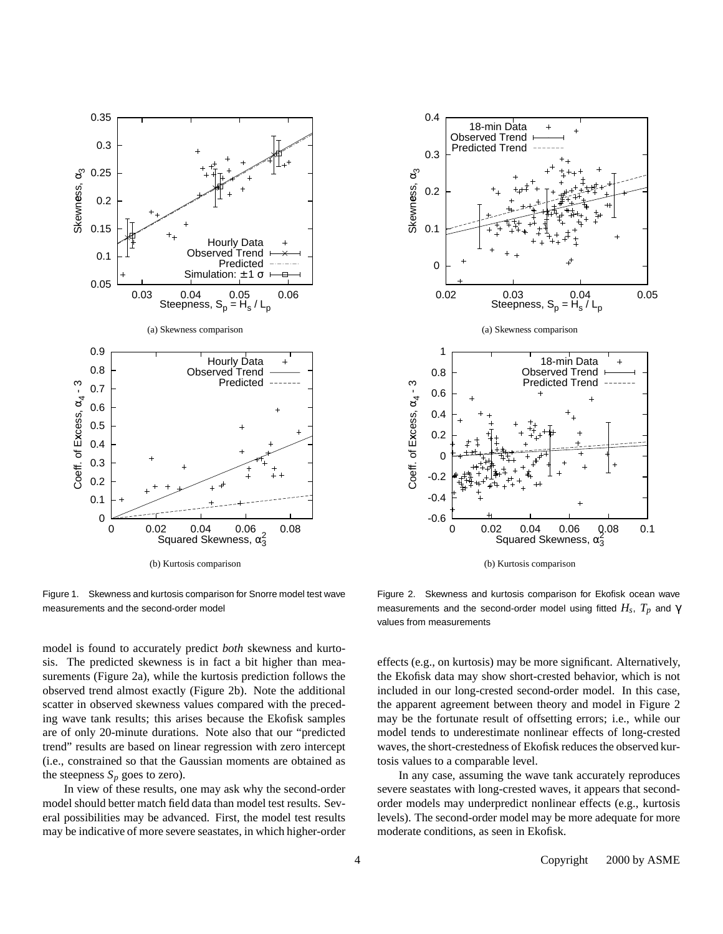

Figure 1. Skewness and kurtosis comparison for Snorre model test wave measurements and the second-order model

model is found to accurately predict *both* skewness and kurtosis. The predicted skewness is in fact a bit higher than measurements (Figure 2a), while the kurtosis prediction follows the observed trend almost exactly (Figure 2b). Note the additional scatter in observed skewness values compared with the preceding wave tank results; this arises because the Ekofisk samples are of only 20-minute durations. Note also that our "predicted trend" results are based on linear regression with zero intercept (i.e., constrained so that the Gaussian moments are obtained as the steepness  $S_p$  goes to zero).

In view of these results, one may ask why the second-order model should better match field data than model test results. Several possibilities may be advanced. First, the model test results may be indicative of more severe seastates, in which higher-order



(b) Kurtosis comparison

Figure 2. Skewness and kurtosis comparison for Ekofisk ocean wave measurements and the second-order model using fitted *H<sup>s</sup>* , *T<sup>p</sup>* and γ values from measurements

effects (e.g., on kurtosis) may be more significant. Alternatively, the Ekofisk data may show short-crested behavior, which is not included in our long-crested second-order model. In this case, the apparent agreement between theory and model in Figure 2 may be the fortunate result of offsetting errors; i.e., while our model tends to underestimate nonlinear effects of long-crested waves, the short-crestedness of Ekofisk reduces the observed kurtosis values to a comparable level.

In any case, assuming the wave tank accurately reproduces severe seastates with long-crested waves, it appears that secondorder models may underpredict nonlinear effects (e.g., kurtosis levels). The second-order model may be more adequate for more moderate conditions, as seen in Ekofisk.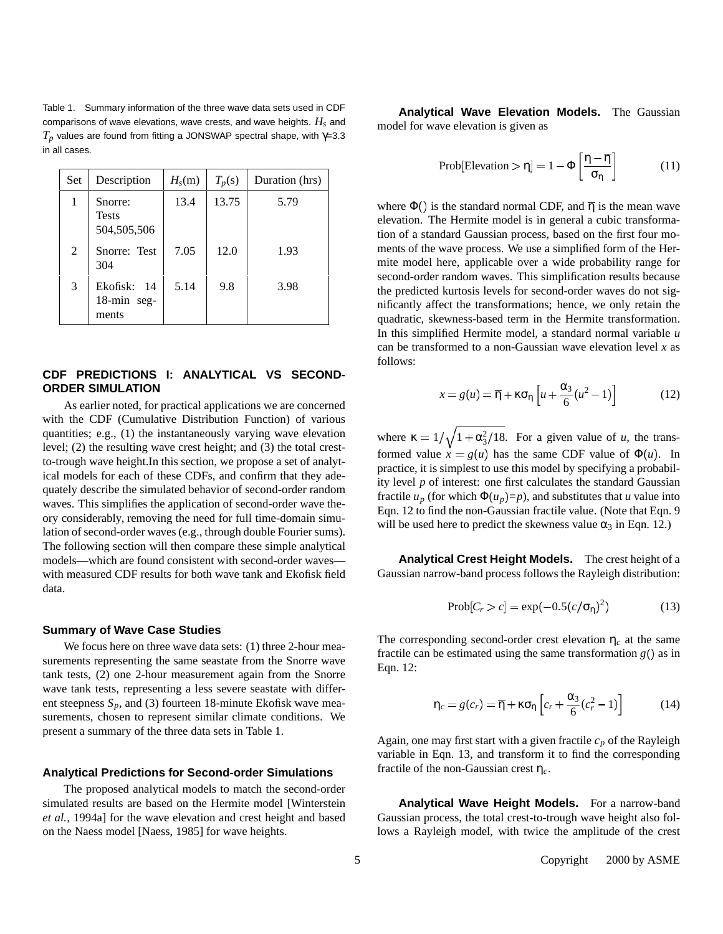Table 1. Summary information of the three wave data sets used in CDF comparisons of wave elevations, wave crests, and wave heights. *H<sup>s</sup>* and  $T_p$  values are found from fitting a JONSWAP spectral shape, with  $γ=3.3$ in all cases.

| Set | Description                              | $H_s(m)$ | $T_p(s)$ | Duration (hrs) |
|-----|------------------------------------------|----------|----------|----------------|
| 1   | Snorre:<br><b>Tests</b><br>504, 505, 506 | 13.4     | 13.75    | 5.79           |
| 2   | Snorre: Test<br>304                      | 7.05     | 12.0     | 1.93           |
| 3   | Ekofisk: 14<br>18-min seg-<br>ments      | 5.14     | 9.8      | 3.98           |

## **CDF PREDICTIONS I: ANALYTICAL VS SECOND-ORDER SIMULATION**

As earlier noted, for practical applications we are concerned with the CDF (Cumulative Distribution Function) of various quantities; e.g., (1) the instantaneously varying wave elevation level; (2) the resulting wave crest height; and (3) the total crestto-trough wave height.In this section, we propose a set of analytical models for each of these CDFs, and confirm that they adequately describe the simulated behavior of second-order random waves. This simplifies the application of second-order wave theory considerably, removing the need for full time-domain simulation of second-order waves (e.g., through double Fourier sums). The following section will then compare these simple analytical models—which are found consistent with second-order waves with measured CDF results for both wave tank and Ekofisk field data.

#### **Summary of Wave Case Studies**

We focus here on three wave data sets: (1) three 2-hour measurements representing the same seastate from the Snorre wave tank tests, (2) one 2-hour measurement again from the Snorre wave tank tests, representing a less severe seastate with different steepness  $S_p$ , and (3) fourteen 18-minute Ekofisk wave measurements, chosen to represent similar climate conditions. We present a summary of the three data sets in Table 1.

#### **Analytical Predictions for Second-order Simulations**

The proposed analytical models to match the second-order simulated results are based on the Hermite model [Winterstein *et al.*, 1994a] for the wave elevation and crest height and based on the Naess model [Naess, 1985] for wave heights.

**Analytical Wave Elevation Models.** The Gaussian model for wave elevation is given as

$$
Prob[Elevation > \eta] = 1 - \Phi\left[\frac{\eta - \overline{\eta}}{\sigma_{\eta}}\right]
$$
 (11)

where  $\Phi()$  is the standard normal CDF, and  $\overline{\eta}$  is the mean wave elevation. The Hermite model is in general a cubic transformation of a standard Gaussian process, based on the first four moments of the wave process. We use a simplified form of the Hermite model here, applicable over a wide probability range for second-order random waves. This simplification results because the predicted kurtosis levels for second-order waves do not significantly affect the transformations; hence, we only retain the quadratic, skewness-based term in the Hermite transformation. In this simplified Hermite model, a standard normal variable *u* can be transformed to a non-Gaussian wave elevation level *x* as follows:

$$
x = g(u) = \overline{\eta} + \kappa \sigma_{\eta} \left[ u + \frac{\alpha_3}{6} (u^2 - 1) \right]
$$
 (12)

where  $\kappa = 1/\sqrt{1 + \alpha_3^2/18}$ . For a given value of *u*, the transformed value  $x = g(u)$  has the same CDF value of  $\Phi(u)$ . In practice, it is simplest to use this model by specifying a probability level *p* of interest: one first calculates the standard Gaussian fractile  $u_p$  (for which  $\Phi(u_p) = p$ ), and substitutes that *u* value into Eqn. 12 to find the non-Gaussian fractile value. (Note that Eqn. 9 will be used here to predict the skewness value  $\alpha_3$  in Eqn. 12.)

**Analytical Crest Height Models.** The crest height of a Gaussian narrow-band process follows the Rayleigh distribution:

$$
Prob[C_r > c] = \exp(-0.5(c/\sigma_\eta)^2)
$$
 (13)

The corresponding second-order crest elevation  $\eta_c$  at the same fractile can be estimated using the same transformation  $g()$  as in Eqn. 12:

$$
\eta_c = g(c_r) = \overline{\eta} + \kappa \sigma_{\eta} \left[ c_r + \frac{\alpha_3}{6} (c_r^2 - 1) \right]
$$
 (14)

Again, one may first start with a given fractile *c<sup>p</sup>* of the Rayleigh variable in Eqn. 13, and transform it to find the corresponding fractile of the non-Gaussian crest η*c*.

**Analytical Wave Height Models.** For a narrow-band Gaussian process, the total crest-to-trough wave height also follows a Rayleigh model, with twice the amplitude of the crest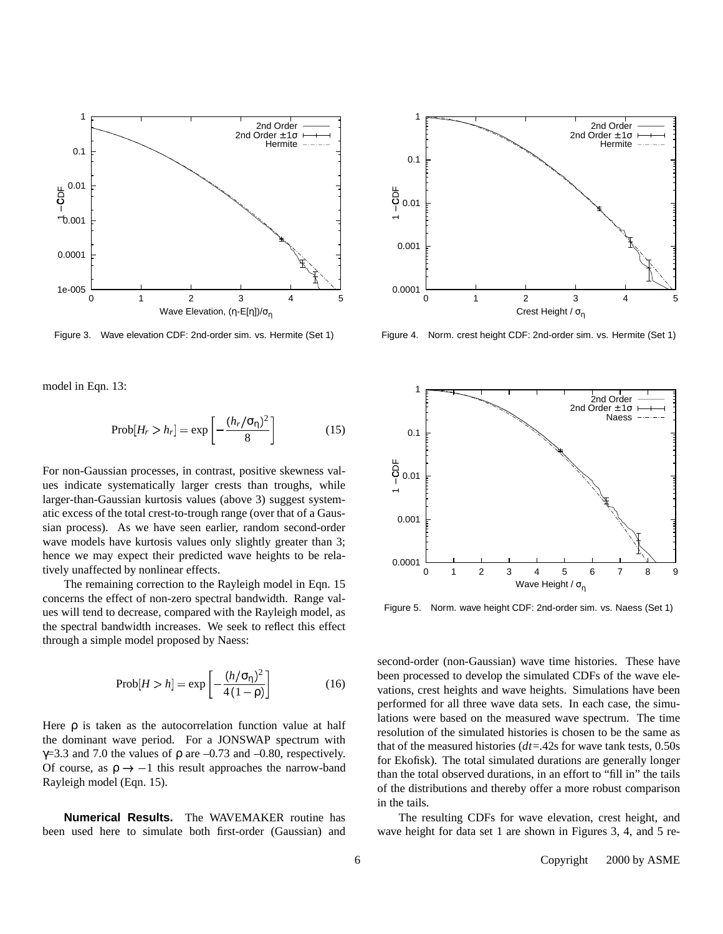

Figure 3. Wave elevation CDF: 2nd-order sim. vs. Hermite (Set 1)

model in Eqn. 13:

$$
Prob[H_r > h_r] = \exp\left[-\frac{(h_r/\sigma_\eta)^2}{8}\right]
$$
 (15)

For non-Gaussian processes, in contrast, positive skewness values indicate systematically larger crests than troughs, while larger-than-Gaussian kurtosis values (above 3) suggest systematic excess of the total crest-to-trough range (over that of a Gaussian process). As we have seen earlier, random second-order wave models have kurtosis values only slightly greater than 3; hence we may expect their predicted wave heights to be relatively unaffected by nonlinear effects.

The remaining correction to the Rayleigh model in Eqn. 15 concerns the effect of non-zero spectral bandwidth. Range values will tend to decrease, compared with the Rayleigh model, as the spectral bandwidth increases. We seek to reflect this effect through a simple model proposed by Naess:

$$
Prob[H > h] = \exp\left[-\frac{(h/\sigma_{\eta})^2}{4(1-\rho)}\right]
$$
 (16)

Here  $\rho$  is taken as the autocorrelation function value at half the dominant wave period. For a JONSWAP spectrum with  $\gamma$ =3.3 and 7.0 the values of  $\rho$  are -0.73 and -0.80, respectively. Of course, as  $\rho \rightarrow -1$  this result approaches the narrow-band Rayleigh model (Eqn. 15).

**Numerical Results.** The WAVEMAKER routine has been used here to simulate both first-order (Gaussian) and



Figure 4. Norm. crest height CDF: 2nd-order sim. vs. Hermite (Set 1)



Figure 5. Norm. wave height CDF: 2nd-order sim. vs. Naess (Set 1)

second-order (non-Gaussian) wave time histories. These have been processed to develop the simulated CDFs of the wave elevations, crest heights and wave heights. Simulations have been performed for all three wave data sets. In each case, the simulations were based on the measured wave spectrum. The time resolution of the simulated histories is chosen to be the same as that of the measured histories (*dt*=.42s for wave tank tests, 0.50s for Ekofisk). The total simulated durations are generally longer than the total observed durations, in an effort to "fill in" the tails of the distributions and thereby offer a more robust comparison in the tails.

The resulting CDFs for wave elevation, crest height, and wave height for data set 1 are shown in Figures 3, 4, and 5 re-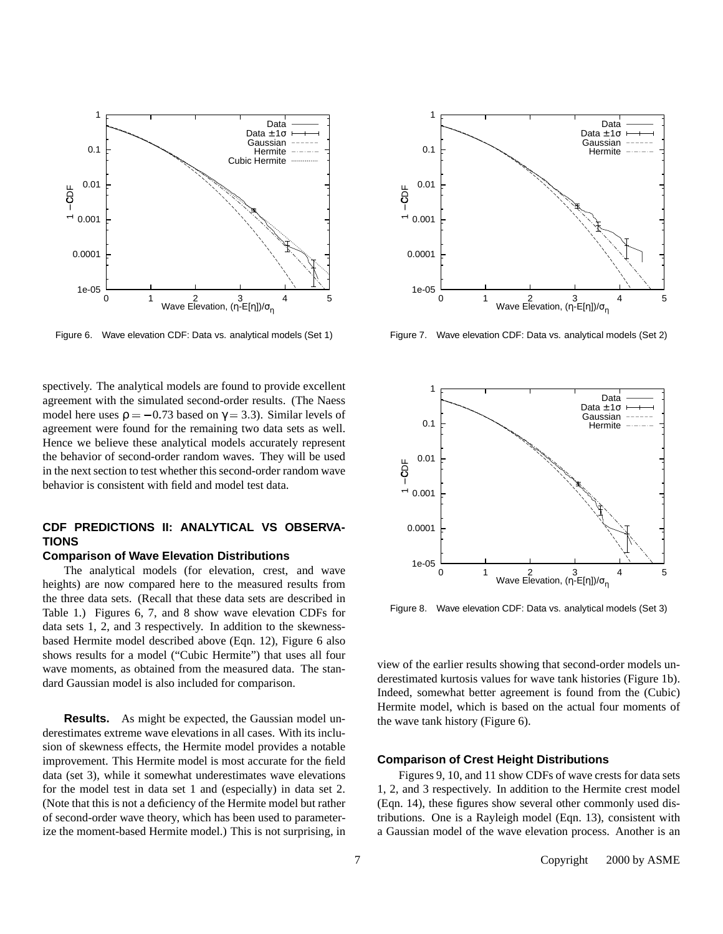

Figure 6. Wave elevation CDF: Data vs. analytical models (Set 1)

spectively. The analytical models are found to provide excellent agreement with the simulated second-order results. (The Naess model here uses  $p = -0.73$  based on  $\gamma = 3.3$ ). Similar levels of agreement were found for the remaining two data sets as well. Hence we believe these analytical models accurately represent the behavior of second-order random waves. They will be used in the next section to test whether this second-order random wave behavior is consistent with field and model test data.

## **CDF PREDICTIONS II: ANALYTICAL VS OBSERVA-TIONS**

## **Comparison of Wave Elevation Distributions**

The analytical models (for elevation, crest, and wave heights) are now compared here to the measured results from the three data sets. (Recall that these data sets are described in Table 1.) Figures 6, 7, and 8 show wave elevation CDFs for data sets 1, 2, and 3 respectively. In addition to the skewnessbased Hermite model described above (Eqn. 12), Figure 6 also shows results for a model ("Cubic Hermite") that uses all four wave moments, as obtained from the measured data. The standard Gaussian model is also included for comparison.

**Results.** As might be expected, the Gaussian model underestimates extreme wave elevations in all cases. With its inclusion of skewness effects, the Hermite model provides a notable improvement. This Hermite model is most accurate for the field data (set 3), while it somewhat underestimates wave elevations for the model test in data set 1 and (especially) in data set 2. (Note that this is not a deficiency of the Hermite model but rather of second-order wave theory, which has been used to parameterize the moment-based Hermite model.) This is not surprising, in



Figure 7. Wave elevation CDF: Data vs. analytical models (Set 2)



Figure 8. Wave elevation CDF: Data vs. analytical models (Set 3)

view of the earlier results showing that second-order models underestimated kurtosis values for wave tank histories (Figure 1b). Indeed, somewhat better agreement is found from the (Cubic) Hermite model, which is based on the actual four moments of the wave tank history (Figure 6).

#### **Comparison of Crest Height Distributions**

Figures 9, 10, and 11 show CDFs of wave crests for data sets 1, 2, and 3 respectively. In addition to the Hermite crest model (Eqn. 14), these figures show several other commonly used distributions. One is a Rayleigh model (Eqn. 13), consistent with a Gaussian model of the wave elevation process. Another is an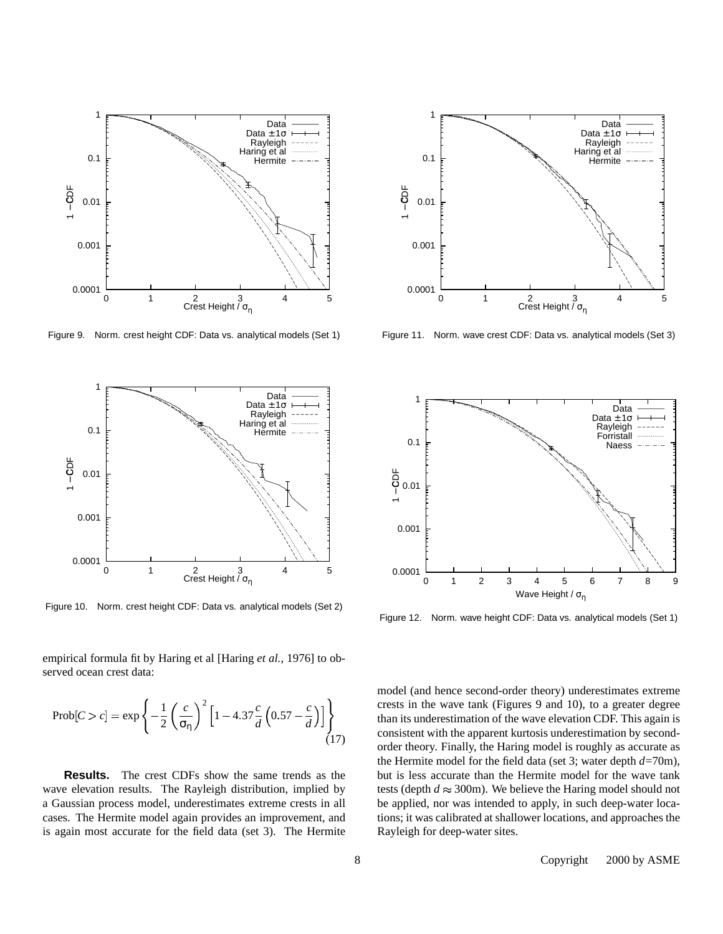

Figure 9. Norm. crest height CDF: Data vs. analytical models (Set 1)



Figure 10. Norm. crest height CDF: Data vs. analytical models (Set 2)

empirical formula fit by Haring et al [Haring *et al.*, 1976] to observed ocean crest data:

$$
\text{Prob}[C > c] = \exp\left\{-\frac{1}{2}\left(\frac{c}{\sigma_{\eta}}\right)^{2}\left[1 - 4.37\frac{c}{d}\left(0.57 - \frac{c}{d}\right)\right]\right\}
$$
\n(17)

**Results.** The crest CDFs show the same trends as the wave elevation results. The Rayleigh distribution, implied by a Gaussian process model, underestimates extreme crests in all cases. The Hermite model again provides an improvement, and is again most accurate for the field data (set 3). The Hermite



Figure 11. Norm. wave crest CDF: Data vs. analytical models (Set 3)



Figure 12. Norm. wave height CDF: Data vs. analytical models (Set 1)

model (and hence second-order theory) underestimates extreme crests in the wave tank (Figures 9 and 10), to a greater degree than its underestimation of the wave elevation CDF. This again is consistent with the apparent kurtosis underestimation by secondorder theory. Finally, the Haring model is roughly as accurate as the Hermite model for the field data (set 3; water depth *d*=70m), but is less accurate than the Hermite model for the wave tank tests (depth  $d \approx 300$ m). We believe the Haring model should not be applied, nor was intended to apply, in such deep-water locations; it was calibrated at shallower locations, and approaches the Rayleigh for deep-water sites.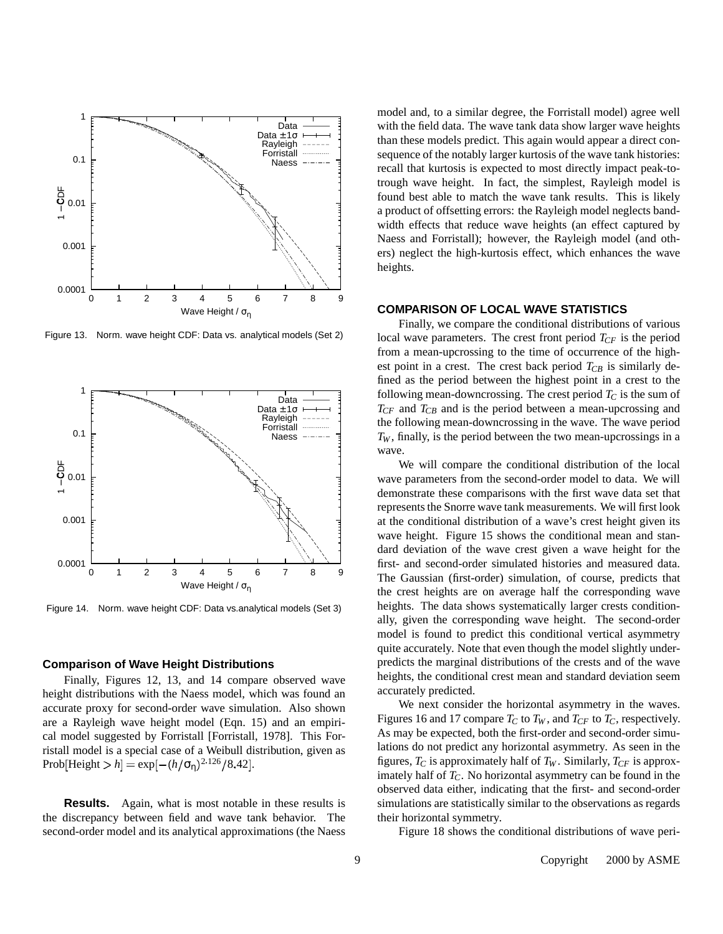

Figure 13. Norm. wave height CDF: Data vs. analytical models (Set 2)



Figure 14. Norm. wave height CDF: Data vs.analytical models (Set 3)

## **Comparison of Wave Height Distributions**

Finally, Figures 12, 13, and 14 compare observed wave height distributions with the Naess model, which was found an accurate proxy for second-order wave simulation. Also shown are a Rayleigh wave height model (Eqn. 15) and an empirical model suggested by Forristall [Forristall, 1978]. This Forristall model is a special case of a Weibull distribution, given as Prob[Height  $> h$ ] = exp[ $-(h/\sigma_{\eta})^2$ <sup>126</sup>/8.42].

**Results.** Again, what is most notable in these results is the discrepancy between field and wave tank behavior. The second-order model and its analytical approximations (the Naess

model and, to a similar degree, the Forristall model) agree well with the field data. The wave tank data show larger wave heights than these models predict. This again would appear a direct consequence of the notably larger kurtosis of the wave tank histories: recall that kurtosis is expected to most directly impact peak-totrough wave height. In fact, the simplest, Rayleigh model is found best able to match the wave tank results. This is likely a product of offsetting errors: the Rayleigh model neglects bandwidth effects that reduce wave heights (an effect captured by Naess and Forristall); however, the Rayleigh model (and others) neglect the high-kurtosis effect, which enhances the wave heights.

## **COMPARISON OF LOCAL WAVE STATISTICS**

Finally, we compare the conditional distributions of various local wave parameters. The crest front period  $T_{CF}$  is the period from a mean-upcrossing to the time of occurrence of the highest point in a crest. The crest back period  $T_{CB}$  is similarly defined as the period between the highest point in a crest to the following mean-downcrossing. The crest period  $T_C$  is the sum of *TCF* and *TCB* and is the period between a mean-upcrossing and the following mean-downcrossing in the wave. The wave period  $T_W$ , finally, is the period between the two mean-upcrossings in a wave.

We will compare the conditional distribution of the local wave parameters from the second-order model to data. We will demonstrate these comparisons with the first wave data set that represents the Snorre wave tank measurements. We will first look at the conditional distribution of a wave's crest height given its wave height. Figure 15 shows the conditional mean and standard deviation of the wave crest given a wave height for the first- and second-order simulated histories and measured data. The Gaussian (first-order) simulation, of course, predicts that the crest heights are on average half the corresponding wave heights. The data shows systematically larger crests conditionally, given the corresponding wave height. The second-order model is found to predict this conditional vertical asymmetry quite accurately. Note that even though the model slightly underpredicts the marginal distributions of the crests and of the wave heights, the conditional crest mean and standard deviation seem accurately predicted.

We next consider the horizontal asymmetry in the waves. Figures 16 and 17 compare  $T_C$  to  $T_W$ , and  $T_{CF}$  to  $T_C$ , respectively. As may be expected, both the first-order and second-order simulations do not predict any horizontal asymmetry. As seen in the figures,  $T_C$  is approximately half of  $T_W$ . Similarly,  $T_{CF}$  is approximately half of *TC*. No horizontal asymmetry can be found in the observed data either, indicating that the first- and second-order simulations are statistically similar to the observations as regards their horizontal symmetry.

Figure 18 shows the conditional distributions of wave peri-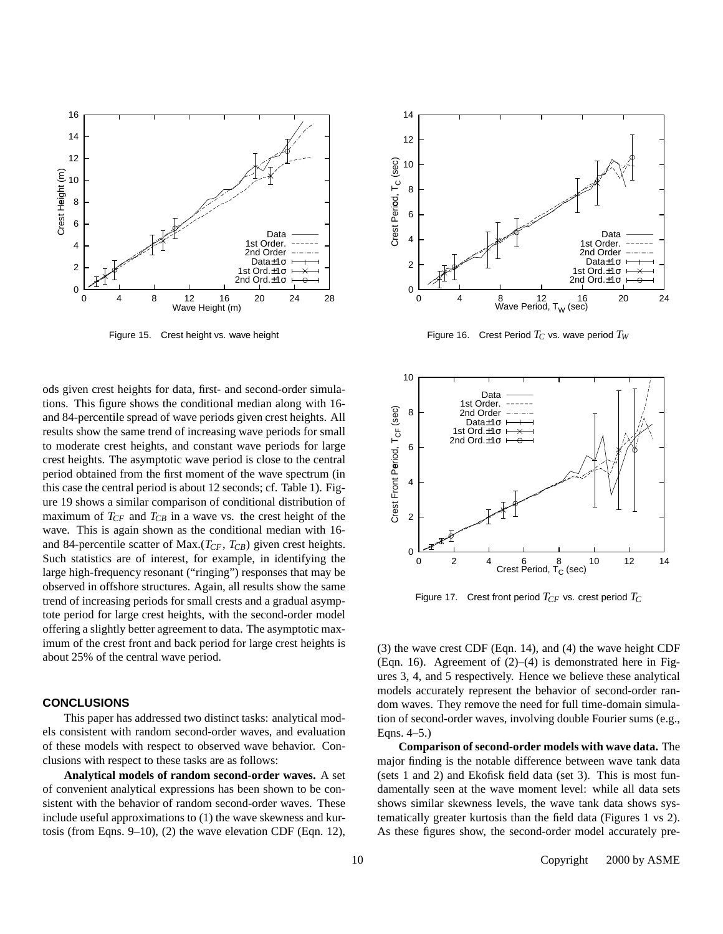

Figure 15. Crest height vs. wave height

ods given crest heights for data, first- and second-order simulations. This figure shows the conditional median along with 16 and 84-percentile spread of wave periods given crest heights. All results show the same trend of increasing wave periods for small to moderate crest heights, and constant wave periods for large crest heights. The asymptotic wave period is close to the central period obtained from the first moment of the wave spectrum (in this case the central period is about 12 seconds; cf. Table 1). Figure 19 shows a similar comparison of conditional distribution of maximum of  $T_{CF}$  and  $T_{CB}$  in a wave vs. the crest height of the wave. This is again shown as the conditional median with 16 and 84-percentile scatter of Max.(*TCF*, *TCB*) given crest heights. Such statistics are of interest, for example, in identifying the large high-frequency resonant ("ringing") responses that may be observed in offshore structures. Again, all results show the same trend of increasing periods for small crests and a gradual asymptote period for large crest heights, with the second-order model offering a slightly better agreement to data. The asymptotic maximum of the crest front and back period for large crest heights is about 25% of the central wave period.

#### **CONCLUSIONS**

This paper has addressed two distinct tasks: analytical models consistent with random second-order waves, and evaluation of these models with respect to observed wave behavior. Conclusions with respect to these tasks are as follows:

**Analytical models of random second-order waves.** A set of convenient analytical expressions has been shown to be consistent with the behavior of random second-order waves. These include useful approximations to (1) the wave skewness and kurtosis (from Eqns. 9–10), (2) the wave elevation CDF (Eqn. 12),



Figure 16. Crest Period  $T_C$  vs. wave period  $T_W$ 



Figure 17. Crest front period *TCF* vs. crest period *T<sup>C</sup>*

(3) the wave crest CDF (Eqn. 14), and (4) the wave height CDF (Eqn. 16). Agreement of  $(2)$ – $(4)$  is demonstrated here in Figures 3, 4, and 5 respectively. Hence we believe these analytical models accurately represent the behavior of second-order random waves. They remove the need for full time-domain simulation of second-order waves, involving double Fourier sums (e.g., Eqns. 4–5.)

**Comparison ofsecond-order models with wave data.** The major finding is the notable difference between wave tank data (sets 1 and 2) and Ekofisk field data (set 3). This is most fundamentally seen at the wave moment level: while all data sets shows similar skewness levels, the wave tank data shows systematically greater kurtosis than the field data (Figures 1 vs 2). As these figures show, the second-order model accurately pre-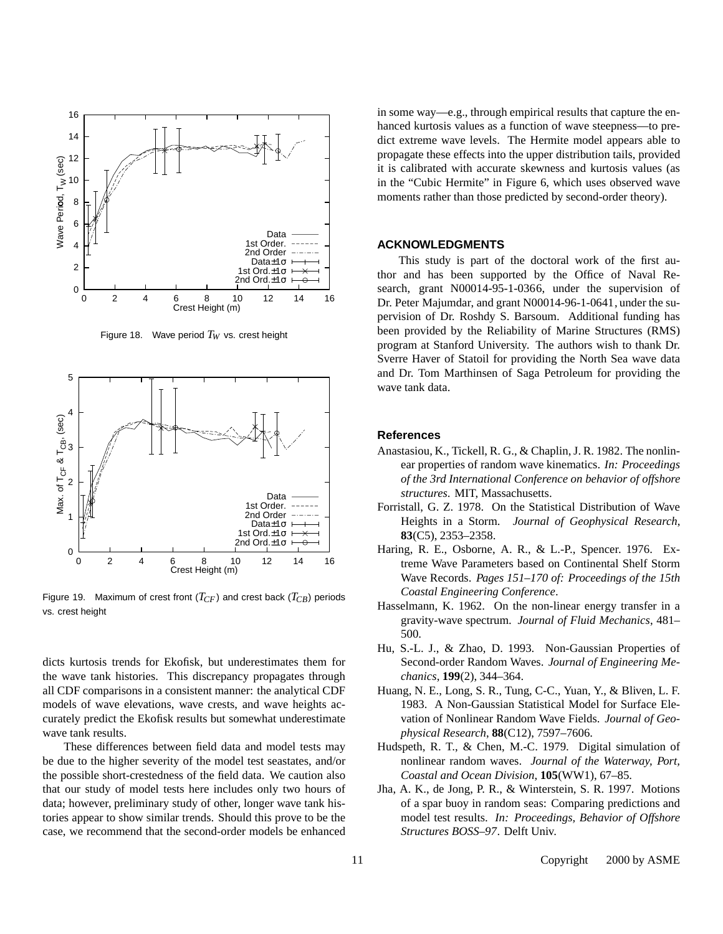

Figure 18. Wave period  $T_W$  vs. crest height



Figure 19. Maximum of crest front (*TCF* ) and crest back (*TCB*) periods vs. crest height

dicts kurtosis trends for Ekofisk, but underestimates them for the wave tank histories. This discrepancy propagates through all CDF comparisons in a consistent manner: the analytical CDF models of wave elevations, wave crests, and wave heights accurately predict the Ekofisk results but somewhat underestimate wave tank results.

These differences between field data and model tests may be due to the higher severity of the model test seastates, and/or the possible short-crestedness of the field data. We caution also that our study of model tests here includes only two hours of data; however, preliminary study of other, longer wave tank histories appear to show similar trends. Should this prove to be the case, we recommend that the second-order models be enhanced

in some way—e.g., through empirical results that capture the enhanced kurtosis values as a function of wave steepness—to predict extreme wave levels. The Hermite model appears able to propagate these effects into the upper distribution tails, provided it is calibrated with accurate skewness and kurtosis values (as in the "Cubic Hermite" in Figure 6, which uses observed wave moments rather than those predicted by second-order theory).

#### **ACKNOWLEDGMENTS**

This study is part of the doctoral work of the first author and has been supported by the Office of Naval Research, grant N00014-95-1-0366, under the supervision of Dr. Peter Majumdar, and grant N00014-96-1-0641, under the supervision of Dr. Roshdy S. Barsoum. Additional funding has been provided by the Reliability of Marine Structures (RMS) program at Stanford University. The authors wish to thank Dr. Sverre Haver of Statoil for providing the North Sea wave data and Dr. Tom Marthinsen of Saga Petroleum for providing the wave tank data.

## **References**

- Anastasiou, K., Tickell, R. G., & Chaplin, J. R. 1982. The nonlinear properties of random wave kinematics. *In: Proceedings of the 3rd International Conference on behavior of offshore structures*. MIT, Massachusetts.
- Forristall, G. Z. 1978. On the Statistical Distribution of Wave Heights in a Storm. *Journal of Geophysical Research*, **83**(C5), 2353–2358.
- Haring, R. E., Osborne, A. R., & L.-P., Spencer. 1976. Extreme Wave Parameters based on Continental Shelf Storm Wave Records. *Pages 151–170 of: Proceedings of the 15th Coastal Engineering Conference*.
- Hasselmann, K. 1962. On the non-linear energy transfer in a gravity-wave spectrum. *Journal of Fluid Mechanics*, 481– 500.
- Hu, S.-L. J., & Zhao, D. 1993. Non-Gaussian Properties of Second-order Random Waves. *Journal of Engineering Mechanics*, **199**(2), 344–364.
- Huang, N. E., Long, S. R., Tung, C-C., Yuan, Y., & Bliven, L. F. 1983. A Non-Gaussian Statistical Model for Surface Elevation of Nonlinear Random Wave Fields. *Journal of Geophysical Research*, **88**(C12), 7597–7606.
- Hudspeth, R. T., & Chen, M.-C. 1979. Digital simulation of nonlinear random waves. *Journal of the Waterway, Port, Coastal and Ocean Division*, **105**(WW1), 67–85.
- Jha, A. K., de Jong, P. R., & Winterstein, S. R. 1997. Motions of a spar buoy in random seas: Comparing predictions and model test results. *In: Proceedings, Behavior of Offshore Structures BOSS–97*. Delft Univ.